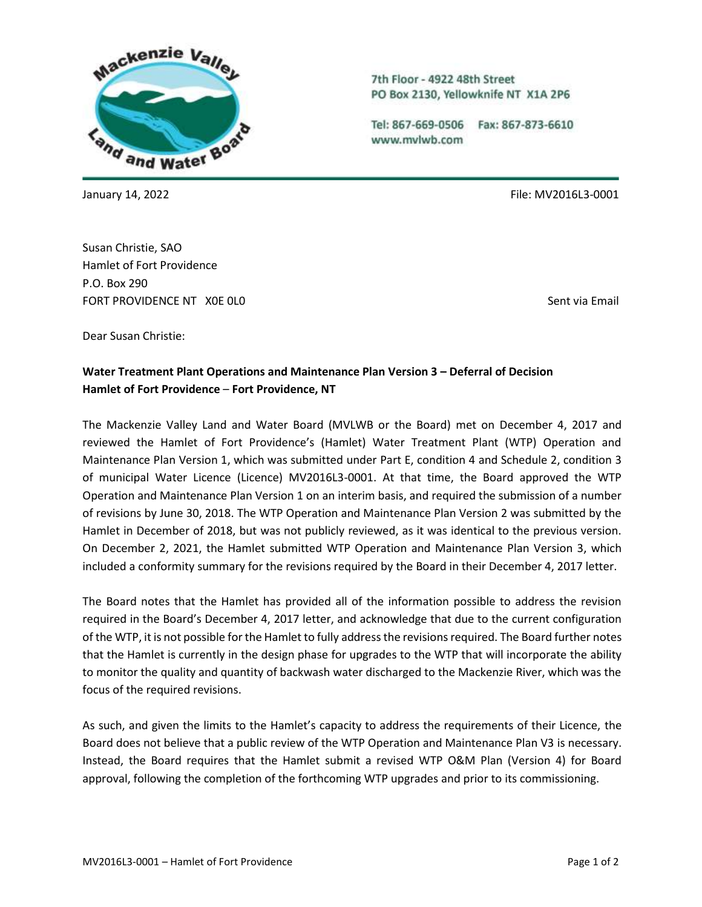

Susan Christie, SAO Hamlet of Fort Providence P.O. Box 290 FORT PROVIDENCE NT XOE OLO SENTENCE ON A SENTENCE OF SENT VIA Email

7th Floor - 4922 48th Street PO Box 2130, Yellowknife NT X1A 2P6

Tel: 867-669-0506 Fax: 867-873-6610 www.mvlwb.com

January 14, 2022 File: MV2016L3-0001

Dear Susan Christie:

## **Water Treatment Plant Operations and Maintenance Plan Version 3 – Deferral of Decision Hamlet of Fort Providence** – **Fort Providence, NT**

The Mackenzie Valley Land and Water Board (MVLWB or the Board) met on December 4, 2017 and reviewed the Hamlet of Fort Providence's (Hamlet) Water Treatment Plant (WTP) Operation and Maintenance Plan Version 1, which was submitted under Part E, condition 4 and Schedule 2, condition 3 of municipal Water Licence (Licence) MV2016L3-0001. At that time, the Board approved the WTP Operation and Maintenance Plan Version 1 on an interim basis, and required the submission of a number of revisions by June 30, 2018. The WTP Operation and Maintenance Plan Version 2 was submitted by the Hamlet in December of 2018, but was not publicly reviewed, as it was identical to the previous version. On December 2, 2021, the Hamlet submitted WTP Operation and Maintenance Plan Version 3, which included a conformity summary for the revisions required by the Board in their December 4, 2017 letter.

The Board notes that the Hamlet has provided all of the information possible to address the revision required in the Board's December 4, 2017 letter, and acknowledge that due to the current configuration of the WTP, it is not possible for the Hamlet to fully address the revisions required. The Board further notes that the Hamlet is currently in the design phase for upgrades to the WTP that will incorporate the ability to monitor the quality and quantity of backwash water discharged to the Mackenzie River, which was the focus of the required revisions.

As such, and given the limits to the Hamlet's capacity to address the requirements of their Licence, the Board does not believe that a public review of the WTP Operation and Maintenance Plan V3 is necessary. Instead, the Board requires that the Hamlet submit a revised WTP O&M Plan (Version 4) for Board approval, following the completion of the forthcoming WTP upgrades and prior to its commissioning.